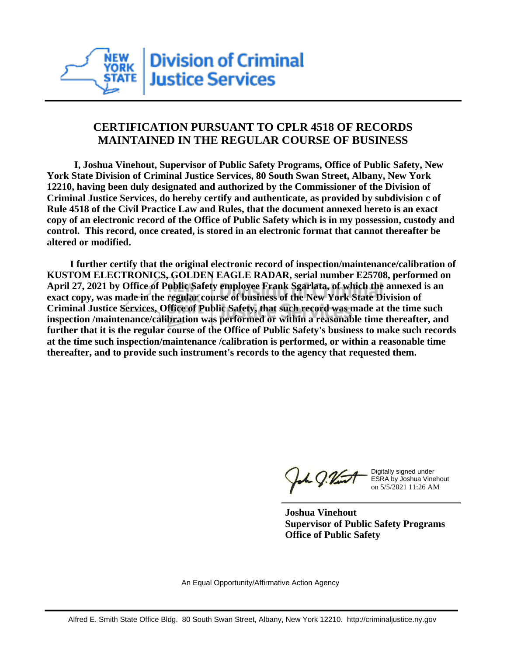

## **CERTIFICATION PURSUANT TO CPLR 4518 OF RECORDS MAINTAINED IN THE REGULAR COURSE OF BUSINESS**

 **I, Joshua Vinehout, Supervisor of Public Safety Programs, Office of Public Safety, New York State Division of Criminal Justice Services, 80 South Swan Street, Albany, New York 12210, having been duly designated and authorized by the Commissioner of the Division of Criminal Justice Services, do hereby certify and authenticate, as provided by subdivision c of Rule 4518 of the Civil Practice Law and Rules, that the document annexed hereto is an exact copy of an electronic record of the Office of Public Safety which is in my possession, custody and control. This record, once created, is stored in an electronic format that cannot thereafter be altered or modified.**

 **I further certify that the original electronic record of inspection/maintenance/calibration of KUSTOM ELECTRONICS, GOLDEN EAGLE RADAR, serial number E25708, performed on April 27, 2021 by Office of Public Safety employee Frank Sgarlata, of which the annexed is an exact copy, was made in the regular course of business of the New York State Division of Criminal Justice Services, Office of Public Safety, that such record was made at the time such inspection /maintenance/calibration was performed or within a reasonable time thereafter, and further that it is the regular course of the Office of Public Safety's business to make such records at the time such inspection/maintenance /calibration is performed, or within a reasonable time thereafter, and to provide such instrument's records to the agency that requested them.**

the g. Vint

Digitally signed under ESRA by Joshua Vinehout on 5/5/2021 11:26 AM

**Joshua Vinehout Supervisor of Public Safety Programs Office of Public Safety**

An Equal Opportunity/Affirmative Action Agency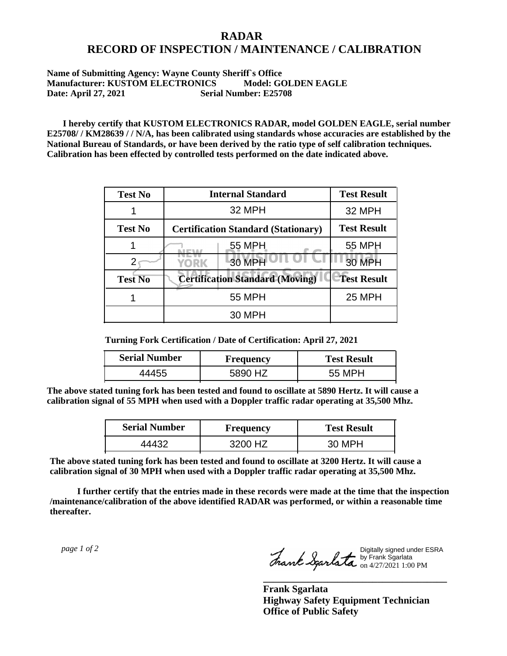## **RADAR RECORD OF INSPECTION / MAINTENANCE / CALIBRATION**

## **Name of Submitting Agency: Wayne County Sheriff`s Office Manufacturer: KUSTOM ELECTRONICS Model: GOLDEN EAGLE Date: April 27, 2021 Serial Number: E25708**

 **I hereby certify that KUSTOM ELECTRONICS RADAR, model GOLDEN EAGLE, serial number E25708/ / KM28639 / / N/A, has been calibrated using standards whose accuracies are established by the National Bureau of Standards, or have been derived by the ratio type of self calibration techniques. Calibration has been effected by controlled tests performed on the date indicated above.**

| <b>Test No</b> | <b>Internal Standard</b>                   | <b>Test Result</b> |
|----------------|--------------------------------------------|--------------------|
|                | 32 MPH                                     | 32 MPH             |
| <b>Test No</b> | <b>Certification Standard (Stationary)</b> | <b>Test Result</b> |
|                | 55 MPH                                     | 55 MPH             |
|                | 30 MPH<br>YORK                             | <b>30 MPH</b>      |
| <b>Test No</b> | <b>Certification Standard (Moving)</b>     | <b>Test Result</b> |
|                | <b>55 MPH</b>                              | <b>25 MPH</b>      |
|                | <b>30 MPH</b>                              |                    |

**Turning Fork Certification / Date of Certification: April 27, 2021**

| <b>Serial Number</b> | <b>Frequency</b> | <b>Test Result</b> |
|----------------------|------------------|--------------------|
|                      | 5890             | 55 MPH             |

**The above stated tuning fork has been tested and found to oscillate at 5890 Hertz. It will cause a calibration signal of 55 MPH when used with a Doppler traffic radar operating at 35,500 Mhz.**

| <b>Serial Number</b> | Frequency | <b>Test Result</b> |
|----------------------|-----------|--------------------|
| -44432               | 3200 HZ   | 30 MPH             |

**The above stated tuning fork has been tested and found to oscillate at 3200 Hertz. It will cause a calibration signal of 30 MPH when used with a Doppler traffic radar operating at 35,500 Mhz.**

 **I further certify that the entries made in these records were made at the time that the inspection /maintenance/calibration of the above identified RADAR was performed, or within a reasonable time thereafter.**

 *page 1 of 2* 

Digitally signed under ESRA by Frank Sgarlata on 4/27/2021 1:00 PM

**\_\_\_\_\_\_\_\_\_\_\_\_\_\_\_\_\_\_\_\_\_\_\_\_\_\_\_\_\_\_\_\_\_\_\_\_\_**

**Frank Sgarlata Highway Safety Equipment Technician Office of Public Safety**